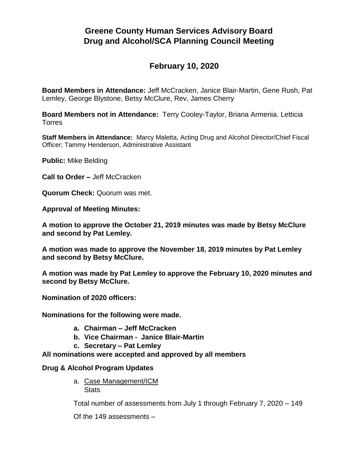## **Greene County Human Services Advisory Board Drug and Alcohol/SCA Planning Council Meeting**

## **February 10, 2020**

**Board Members in Attendance:** Jeff McCracken, Janice Blair-Martin, Gene Rush, Pat Lemley, George Blystone, Betsy McClure, Rev, James Cherry

**Board Members not in Attendance:** Terry Cooley-Taylor, Briana Armenia. Letticia Torres

**Staff Members in Attendance:** Marcy Maletta, Acting Drug and Alcohol Director/Chief Fiscal Officer; Tammy Henderson, Administrative Assistant

**Public:** Mike Belding

**Call to Order –** Jeff McCracken

**Quorum Check:** Quorum was met.

**Approval of Meeting Minutes:**

**A motion to approve the October 21, 2019 minutes was made by Betsy McClure and second by Pat Lemley.**

**A motion was made to approve the November 18, 2019 minutes by Pat Lemley and second by Betsy McClure.**

**A motion was made by Pat Lemley to approve the February 10, 2020 minutes and second by Betsy McClure.**

**Nomination of 2020 officers:** 

**Nominations for the following were made.**

- **a. Chairman – Jeff McCracken**
- **b. Vice Chairman Janice Blair-Martin**
- **c. Secretary – Pat Lemley**

**All nominations were accepted and approved by all members**

## **Drug & Alcohol Program Updates**

a. Case Management/ICM **Stats** 

Total number of assessments from July 1 through February 7, 2020 – 149

Of the 149 assessments –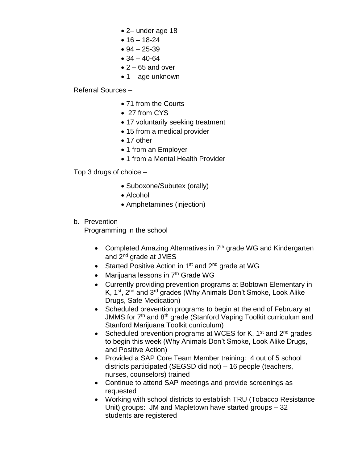- 2– under age 18
- $16 18 24$
- $94 25 39$
- $34 40 64$
- $\bullet$  2 65 and over
- $\bullet$  1 age unknown

Referral Sources –

- 71 from the Courts
- 27 from CYS
- 17 voluntarily seeking treatment
- 15 from a medical provider
- 17 other
- 1 from an Employer
- 1 from a Mental Health Provider

Top 3 drugs of choice –

- Suboxone/Subutex (orally)
- Alcohol
- Amphetamines (injection)
- b. Prevention

Programming in the school

- Completed Amazing Alternatives in 7<sup>th</sup> grade WG and Kindergarten and 2nd grade at JMES
- Started Positive Action in 1<sup>st</sup> and 2<sup>nd</sup> grade at WG
- Marijuana lessons in  $7<sup>th</sup>$  Grade WG
- Currently providing prevention programs at Bobtown Elementary in K, 1<sup>st</sup>, 2<sup>nd</sup> and 3<sup>rd</sup> grades (Why Animals Don't Smoke, Look Alike Drugs, Safe Medication)
- Scheduled prevention programs to begin at the end of February at JMMS for 7<sup>th</sup> and 8<sup>th</sup> grade (Stanford Vaping Toolkit curriculum and Stanford Marijuana Toolkit curriculum)
- Scheduled prevention programs at WCES for K,  $1<sup>st</sup>$  and  $2<sup>nd</sup>$  grades to begin this week (Why Animals Don't Smoke, Look Alike Drugs, and Positive Action)
- Provided a SAP Core Team Member training: 4 out of 5 school districts participated (SEGSD did not) – 16 people (teachers, nurses, counselors) trained
- Continue to attend SAP meetings and provide screenings as requested
- Working with school districts to establish TRU (Tobacco Resistance Unit) groups: JM and Mapletown have started groups – 32 students are registered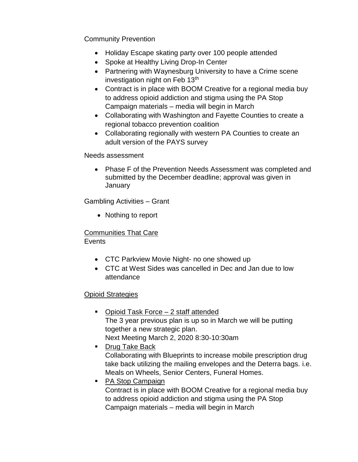Community Prevention

- Holiday Escape skating party over 100 people attended
- Spoke at Healthy Living Drop-In Center
- Partnering with Waynesburg University to have a Crime scene investigation night on Feb  $13<sup>th</sup>$
- Contract is in place with BOOM Creative for a regional media buy to address opioid addiction and stigma using the PA Stop Campaign materials – media will begin in March
- Collaborating with Washington and Fayette Counties to create a regional tobacco prevention coalition
- Collaborating regionally with western PA Counties to create an adult version of the PAYS survey

Needs assessment

 Phase F of the Prevention Needs Assessment was completed and submitted by the December deadline; approval was given in **January** 

Gambling Activities – Grant

• Nothing to report

Communities That Care **Events** 

- CTC Parkview Movie Night- no one showed up
- CTC at West Sides was cancelled in Dec and Jan due to low attendance

## Opioid Strategies

- Opioid Task Force 2 staff attended The 3 year previous plan is up so in March we will be putting together a new strategic plan. Next Meeting March 2, 2020 8:30-10:30am
- **Drug Take Back**

Collaborating with Blueprints to increase mobile prescription drug take back utilizing the mailing envelopes and the Deterra bags. i.e. Meals on Wheels, Senior Centers, Funeral Homes.

• PA Stop Campaign

Contract is in place with BOOM Creative for a regional media buy to address opioid addiction and stigma using the PA Stop Campaign materials – media will begin in March